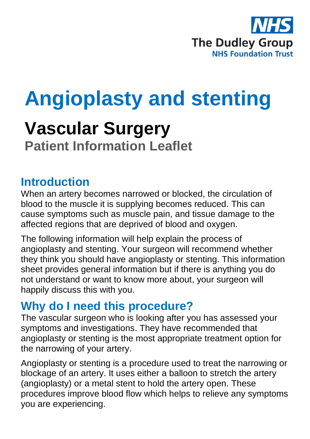

# **Angioplasty and stenting**

## **Vascular Surgery Patient Information Leaflet**

#### **Introduction**

When an artery becomes narrowed or blocked, the circulation of blood to the muscle it is supplying becomes reduced. This can cause symptoms such as muscle pain, and tissue damage to the affected regions that are deprived of blood and oxygen.

The following information will help explain the process of angioplasty and stenting. Your surgeon will recommend whether they think you should have angioplasty or stenting. This information sheet provides general information but if there is anything you do not understand or want to know more about, your surgeon will happily discuss this with you.

## **Why do I need this procedure?**

The vascular surgeon who is looking after you has assessed your symptoms and investigations. They have recommended that angioplasty or stenting is the most appropriate treatment option for the narrowing of your artery.

Angioplasty or stenting is a procedure used to treat the narrowing or blockage of an artery. It uses either a balloon to stretch the artery (angioplasty) or a metal stent to hold the artery open. These procedures improve blood flow which helps to relieve any symptoms you are experiencing.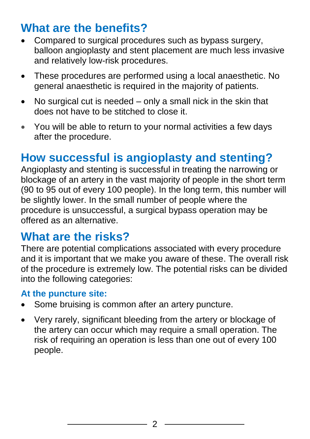## **What are the benefits?**

- Compared to surgical procedures such as bypass surgery, balloon angioplasty and stent placement are much less invasive and relatively low-risk procedures.
- These procedures are performed using a local anaesthetic. No general anaesthetic is required in the majority of patients.
- No surgical cut is needed only a small nick in the skin that does not have to be stitched to close it.
- You will be able to return to your normal activities a few days after the procedure.

#### **How successful is angioplasty and stenting?**

Angioplasty and stenting is successful in treating the narrowing or blockage of an artery in the vast majority of people in the short term (90 to 95 out of every 100 people). In the long term, this number will be slightly lower. In the small number of people where the procedure is unsuccessful, a surgical bypass operation may be offered as an alternative.

#### **What are the risks?**

There are potential complications associated with every procedure and it is important that we make you aware of these. The overall risk of the procedure is extremely low. The potential risks can be divided into the following categories:

#### **At the puncture site:**

- Some bruising is common after an artery puncture.
- Very rarely, significant bleeding from the artery or blockage of the artery can occur which may require a small operation. The risk of requiring an operation is less than one out of every 100 people.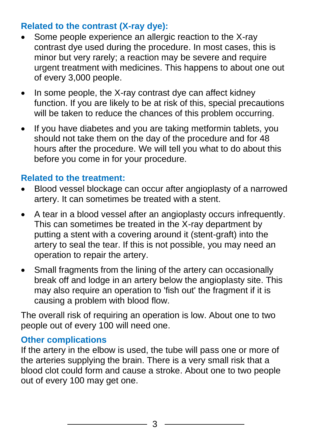#### **Related to the contrast (X-ray dye):**

- Some people experience an allergic reaction to the X-ray contrast dye used during the procedure. In most cases, this is minor but very rarely; a reaction may be severe and require urgent treatment with medicines. This happens to about one out of every 3,000 people.
- In some people, the X-ray contrast dye can affect kidney function. If you are likely to be at risk of this, special precautions will be taken to reduce the chances of this problem occurring.
- If you have diabetes and you are taking metformin tablets, you should not take them on the day of the procedure and for 48 hours after the procedure. We will tell you what to do about this before you come in for your procedure.

#### **Related to the treatment:**

- Blood vessel blockage can occur after angioplasty of a narrowed artery. It can sometimes be treated with a stent.
- A tear in a blood vessel after an angioplasty occurs infrequently. This can sometimes be treated in the X-ray department by putting a stent with a covering around it (stent-graft) into the artery to seal the tear. If this is not possible, you may need an operation to repair the artery.
- Small fragments from the lining of the artery can occasionally break off and lodge in an artery below the angioplasty site. This may also require an operation to 'fish out' the fragment if it is causing a problem with blood flow.

The overall risk of requiring an operation is low. About one to two people out of every 100 will need one.

#### **Other complications**

If the artery in the elbow is used, the tube will pass one or more of the arteries supplying the brain. There is a very small risk that a blood clot could form and cause a stroke. About one to two people out of every 100 may get one.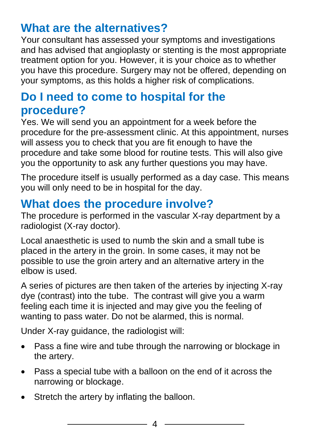## **What are the alternatives?**

Your consultant has assessed your symptoms and investigations and has advised that angioplasty or stenting is the most appropriate treatment option for you. However, it is your choice as to whether you have this procedure. Surgery may not be offered, depending on your symptoms, as this holds a higher risk of complications.

## **Do I need to come to hospital for the procedure?**

Yes. We will send you an appointment for a week before the procedure for the pre-assessment clinic. At this appointment, nurses will assess you to check that you are fit enough to have the procedure and take some blood for routine tests. This will also give you the opportunity to ask any further questions you may have.

The procedure itself is usually performed as a day case. This means you will only need to be in hospital for the day.

## **What does the procedure involve?**

The procedure is performed in the vascular X-ray department by a radiologist (X-ray doctor).

Local anaesthetic is used to numb the skin and a small tube is placed in the artery in the groin. In some cases, it may not be possible to use the groin artery and an alternative artery in the elbow is used.

A series of pictures are then taken of the arteries by injecting X-ray dye (contrast) into the tube. The contrast will give you a warm feeling each time it is injected and may give you the feeling of wanting to pass water. Do not be alarmed, this is normal.

Under X-ray guidance, the radiologist will:

- Pass a fine wire and tube through the narrowing or blockage in the artery.
- Pass a special tube with a balloon on the end of it across the narrowing or blockage.
- Stretch the artery by inflating the balloon.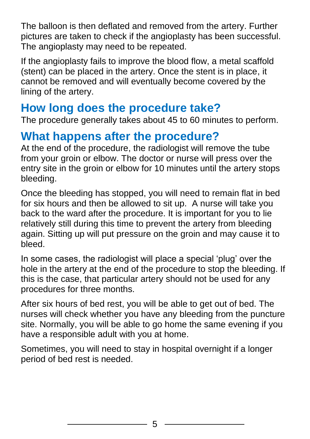The balloon is then deflated and removed from the artery. Further pictures are taken to check if the angioplasty has been successful. The angioplasty may need to be repeated.

If the angioplasty fails to improve the blood flow, a metal scaffold (stent) can be placed in the artery. Once the stent is in place, it cannot be removed and will eventually become covered by the lining of the artery.

### **How long does the procedure take?**

The procedure generally takes about 45 to 60 minutes to perform.

#### **What happens after the procedure?**

At the end of the procedure, the radiologist will remove the tube from your groin or elbow. The doctor or nurse will press over the entry site in the groin or elbow for 10 minutes until the artery stops bleeding.

Once the bleeding has stopped, you will need to remain flat in bed for six hours and then be allowed to sit up. A nurse will take you back to the ward after the procedure. It is important for you to lie relatively still during this time to prevent the artery from bleeding again. Sitting up will put pressure on the groin and may cause it to bleed.

In some cases, the radiologist will place a special 'plug' over the hole in the artery at the end of the procedure to stop the bleeding. If this is the case, that particular artery should not be used for any procedures for three months.

After six hours of bed rest, you will be able to get out of bed. The nurses will check whether you have any bleeding from the puncture site. Normally, you will be able to go home the same evening if you have a responsible adult with you at home.

Sometimes, you will need to stay in hospital overnight if a longer period of bed rest is needed.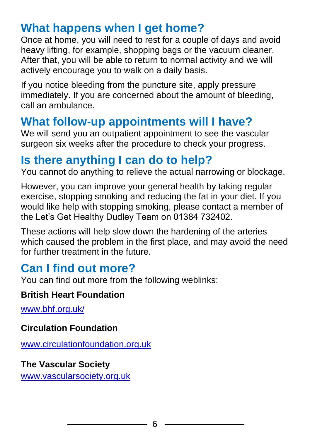## **What happens when I get home?**

Once at home, you will need to rest for a couple of days and avoid heavy lifting, for example, shopping bags or the vacuum cleaner. After that, you will be able to return to normal activity and we will actively encourage you to walk on a daily basis.

If you notice bleeding from the puncture site, apply pressure immediately. If you are concerned about the amount of bleeding, call an ambulance.

## **What follow-up appointments will I have?**

We will send you an outpatient appointment to see the vascular surgeon six weeks after the procedure to check your progress.

### **Is there anything I can do to help?**

You cannot do anything to relieve the actual narrowing or blockage.

However, you can improve your general health by taking regular exercise, stopping smoking and reducing the fat in your diet. If you would like help with stopping smoking, please contact a member of the Let's Get Healthy Dudley Team on 01384 732402.

These actions will help slow down the hardening of the arteries which caused the problem in the first place, and may avoid the need for further treatment in the future.

## **Can I find out more?**

You can find out more from the following weblinks:

#### **British Heart Foundation**

[www.bhf.org.uk/](https://www.bhf.org.uk/)

#### **Circulation Foundation**

[www.circulationfoundation.org.uk](http://www.circulationfoundation.org.uk/)

#### **The Vascular Society**

[www.vascularsociety.org.uk](http://www.vascularsociety.org.uk/)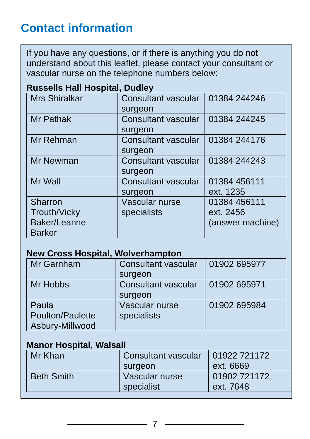## **Contact information**

If you have any questions, or if there is anything you do not understand about this leaflet, please contact your consultant or vascular nurse on the telephone numbers below:

| <b>Mrs Shiralkar</b> | <b>Consultant vascular</b> | 01384 244246     |  |
|----------------------|----------------------------|------------------|--|
|                      | surgeon                    |                  |  |
| Mr Pathak            | <b>Consultant vascular</b> | 01384 244245     |  |
|                      | surgeon                    |                  |  |
| Mr Rehman            | <b>Consultant vascular</b> | 01384 244176     |  |
|                      | surgeon                    |                  |  |
| Mr Newman            | <b>Consultant vascular</b> | 01384 244243     |  |
|                      | surgeon                    |                  |  |
| Mr Wall              | <b>Consultant vascular</b> | 01384 456111     |  |
|                      | surgeon                    | ext. 1235        |  |
| <b>Sharron</b>       | Vascular nurse             | 01384 456111     |  |
| <b>Trouth/Vicky</b>  | specialists                | ext. 2456        |  |
| Baker/Leanne         |                            | (answer machine) |  |
| <b>Barker</b>        |                            |                  |  |

#### **Russells Hall Hospital, Dudley**

#### **New Cross Hospital, Wolverhampton**

| Mr Garnham       | <b>Consultant vascular</b> | 01902 695977 |
|------------------|----------------------------|--------------|
|                  | surgeon                    |              |
| Mr Hobbs         | Consultant vascular        | 01902 695971 |
|                  | surgeon                    |              |
| Paula            | Vascular nurse             | 01902 695984 |
| Poulton/Paulette | specialists                |              |
| Asbury-Millwood  |                            |              |

#### **Manor Hospital, Walsall**

| Mr Khan           | Consultant vascular<br>surgeon | 01922 721172<br>ext. 6669 |
|-------------------|--------------------------------|---------------------------|
| <b>Beth Smith</b> | Vascular nurse<br>specialist   | 01902 721172<br>ext. 7648 |